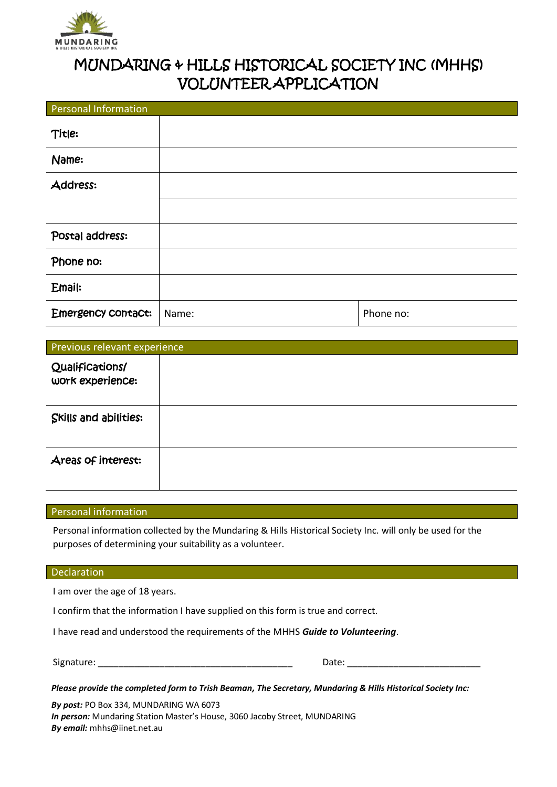

## MUNDARING & HILLS HISTORICAL SOCIETY INC (MHHS) VOLUNTEER APPLICATION

| <b>Personal Information</b> |       |           |
|-----------------------------|-------|-----------|
| Title:                      |       |           |
| Name:                       |       |           |
| Address:                    |       |           |
|                             |       |           |
| Postal address:             |       |           |
| Phone no:                   |       |           |
| Email:                      |       |           |
| Emergency contact:          | Name: | Phone no: |

| Previous relevant experience        |  |  |
|-------------------------------------|--|--|
| Qualifications/<br>work experience: |  |  |
| Skills and abilities:               |  |  |
| Areas of interest:                  |  |  |

## Personal information

Personal information collected by the Mundaring & Hills Historical Society Inc. will only be used for the purposes of determining your suitability as a volunteer.

## Declaration

I am over the age of 18 years.

I confirm that the information I have supplied on this form is true and correct.

I have read and understood the requirements of the MHHS *Guide to Volunteering*.

Signature: \_\_\_\_\_\_\_\_\_\_\_\_\_\_\_\_\_\_\_\_\_\_\_\_\_\_\_\_\_\_\_\_\_\_\_\_\_\_ Date: \_\_\_\_\_\_\_\_\_\_\_\_\_\_\_\_\_\_\_\_\_\_\_\_\_\_

*Please provide the completed form to Trish Beaman, The Secretary, Mundaring & Hills Historical Society Inc:*

*By post:* PO Box 334, MUNDARING WA 6073 *In person:* Mundaring Station Master's House, 3060 Jacoby Street, MUNDARING *By email:* mhhs@iinet.net.au